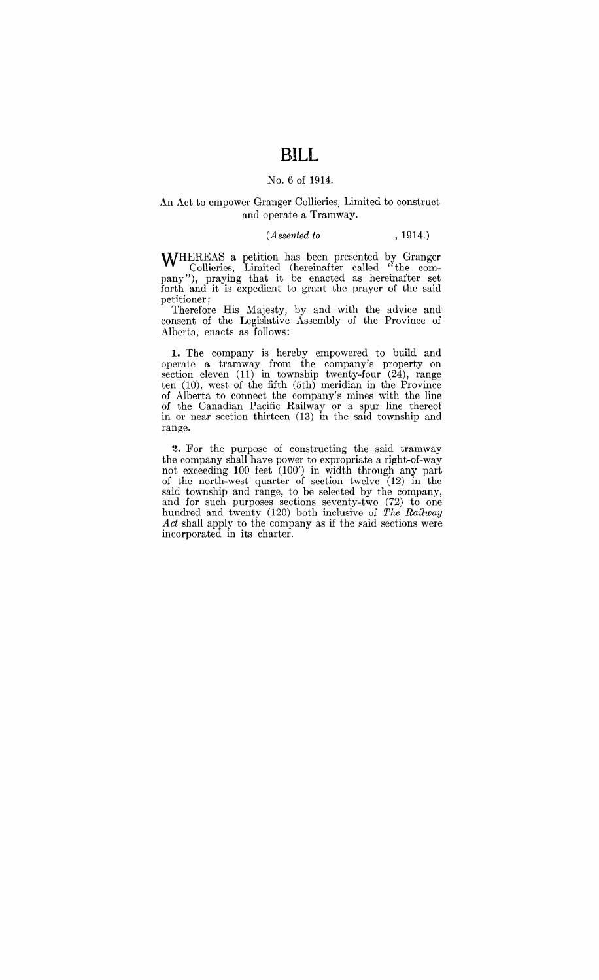# **BILL**

#### No.6 of 1914.

### An Act to empower Granger Collieries, Limited to construct and operate a Tramway.

#### *(Assented to* , 1914.)

WHEREAS a petition has been presented by Granger Collieries, Limited (hereinafter called " the company"), praying that it be enacted as hereinafter set forth and it is expedient to grant the prayer of the said petitioner;

Therefore His Majesty, by and with the advice and consent of the Legislative Assembly of the Province of Alberta, enacts as follows:

1. The company is hereby empowered to build and operate a tramway from the company's property on section cleven (11) in township twenty-four (24), range ten (10), west of the fifth (5th) meridian in the Province of Alberta to connect the company's mines with the line of the Canadian Pacific Railway or a spur line thereof in or near section thirteen (13) in the said township and range.

**2.** For the purpose of constructing the said tramway the company shall have power to expropriate a right-of-way not exceeding 100 feet (100') in width through any part of the north-west quarter of section twelve (12) in the said township and range, to be selected by the company, and for such purposes sections seventy-two (72) to one hundred and twenty (120) both inclusive of *The Railway Act* shall apply to the company as if the said sections were incorporated in its charter.